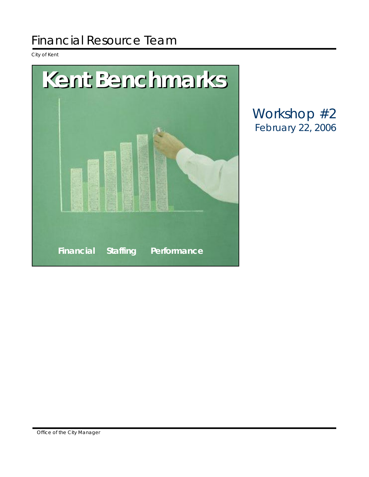# Financial Resource Team

City of Kent



Workshop #2 February 22, 2006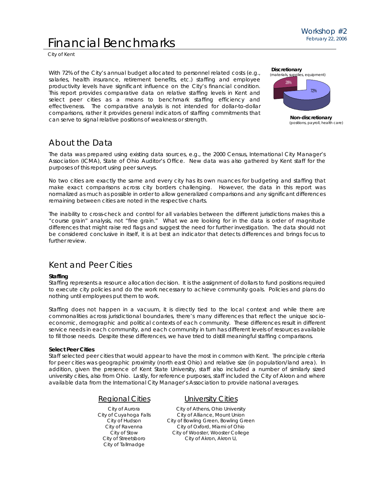# Financial Benchmarks

City of Kent

With 72% of the City's annual budget allocated to personnel related costs (e.g., salaries, health insurance, retirement benefits, etc.) staffing and employee productivity levels have significant influence on the City's financial condition. This report provides comparative data on relative staffing levels in Kent and select peer cities as a means to benchmark staffing efficiency and effectiveness. The comparative analysis is not intended for dollar-to-dollar comparisons, rather it provides general indicators of staffing commitments that can serve to signal relative positions of weakness or strength. **Non-discretionary** (positions, payroll, health care)



# About the Data

The data was prepared using existing data sources, e.g., the 2000 Census, International City Manager's Association (ICMA), State of Ohio Auditor's Office. New data was also gathered by Kent staff for the purposes of this report using peer surveys.

No two cities are exactly the same and every city has its own nuances for budgeting and staffing that make exact comparisons across city borders challenging. However, the data in this report was normalized as much as possible in order to allow generalized comparisons and any significant differences remaining between cities are noted in the respective charts.

The inability to cross-check and control for all variables between the different jurisdictions makes this a "course grain" analysis, not "fine grain." What we are looking for in the data is order of magnitude differences that might raise red flags and suggest the need for further investigation. The data should not be considered conclusive in itself, it is at best an indicator that detects differences and brings focus to further review.

# Kent and Peer Cities

# **Staffing**

Staffing represents a resource allocation decision. It is the assignment of dollars to fund positions required to execute city policies and do the work necessary to achieve community goals. Policies and plans do nothing until employees put them to work.

Staffing does not happen in a vacuum, it is directly tied to the local context and while there are commonalities across jurisdictional boundaries, there's many differences that reflect the unique socioeconomic, demographic and political contexts of each community. These differences result in different service needs in each community, and each community in turn has different levels of resources available to fill those needs. Despite these differences, we have tried to distill meaningful staffing comparisons.

# **Select Peer Cities**

Staff selected peer cities that would appear to have the most in common with Kent. The principle criteria for peer cities was geographic proximity (north east Ohio) and relative size (in population/land area). In addition, given the presence of Kent State University, staff also included a number of similarly sized university cities, also from Ohio. Lastly, for reference purposes, staff included the City of Akron and where available data from the International City Manager's Association to provide national averages.

# Regional Cities

City of Aurora City of Cuyahoga Falls City of Hudson City of Ravenna City of Stow City of Streetsboro City of Tallmadge

# University Cities

City of Athens, Ohio University City of Alliance, Mount Union City of Bowling Green, Bowling Green City of Oxford, Miami of Ohio City of Wooster, Wooster College City of Akron, Akron U,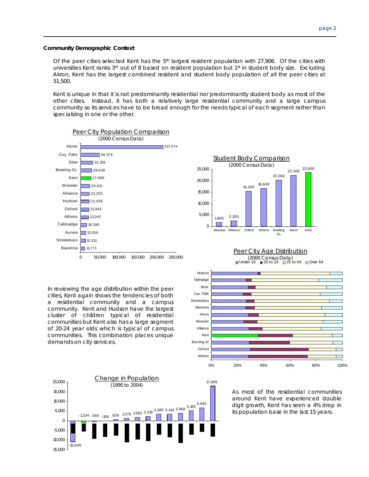#### **Community Demographic Context**

Of the peer cities selected Kent has the 5<sup>th</sup> largest resident population with 27,906. Of the cities with universities Kent ranks 3<sup>rd</sup> out of 8 based on resident population but 1<sup>st</sup> in student body size. Excluding Akron, Kent has the largest combined resident and student body population of all the peer cities at 51,500.

Kent is unique in that it is not predominantly residential nor predominantly student body as most of the other cities. Instead, it has both a relatively large residential community and a large campus community so its services have to be broad enough for the needs typical of each segment rather than specializing in one or the other.



Athens Oxford Bow ling Gr Kent Alliance Wooster Akron Ravenna Streetsboro Cuy. Falls Stow **Tallmadge** 

In reviewing the age distribution within the peer cities, Kent again shows the tendencies of both a residential community and a campus community. Kent and Hudson have the largest cluster of children typical of residential communities but Kent also has a large segment of 20-24 year olds which is typical of campus communities. This combination places unique demands on city services.



As most of the residential communities around Kent have experienced double digit growth, Kent has seen a 4% drop in its population base in the last 15 years.

0% 20% 40% 60% 80% 100%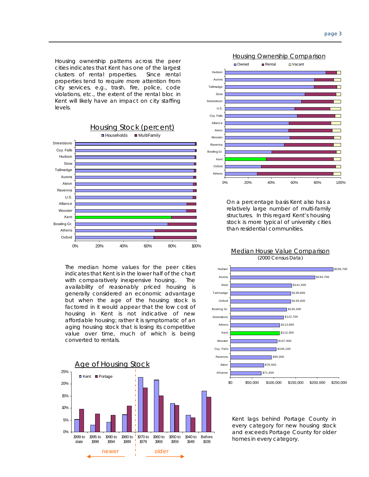Housing ownership patterns across the peer cities indicates that Kent has one of the largest clusters of rental properties. Since rental properties tend to require more attention from city services, e.g., trash, fire, police, code violations, etc., the extent of the rental bloc in Kent will likely have an impact on city staffing levels.



The median home values for the peer cities indicates that Kent is in the lower half of the chart with comparatively inexpensive housing. The availability of reasonably priced housing is generally considered an economic advantage but when the age of the housing stock is factored in it would appear that the low cost of housing in Kent is not indicative of new affordable housing; rather it is symptomatic of an aging housing stock that is losing its competitive value over time, much of which is being converted to rentals.





On a percentage basis Kent also has a relatively large number of multi-family structures. In this regard Kent's housing stock is more typical of university cities than residential communities.



Kent lags behind Portage County in every category for new housing stock and exceeds Portage County for older homes in every category.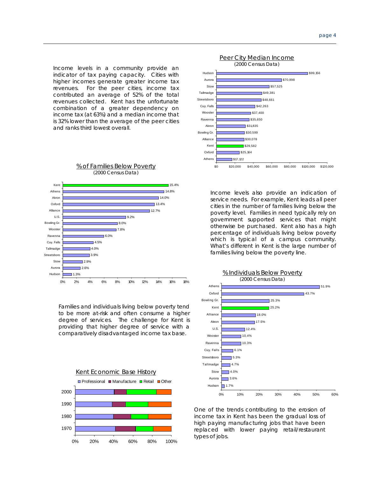indicator of tax paying capacity. Cities with higher incomes generate greater income tax revenues. For the peer cities, income tax contributed an average of 52% of the total revenues collected. Kent has the unfortunate combination of a greater dependency on income tax (at 63%) and a median income that is 32% lower than the average of the peer cities and ranks third lowest overall.



Families and individuals living below poverty tend to be more at-risk and often consume a higher degree of services. The challenge for Kent is providing that higher degree of service with a comparatively disadvantaged income tax base.





Income levels also provide an indication of service needs. For example, Kent leads all peer cities in the number of families living below the poverty level. Families in need typically rely on government supported services that might otherwise be purchased. Kent also has a high percentage of individuals living below poverty which is typical of a campus community. What's different in Kent is the large number of families living below the poverty line.



One of the trends contributing to the erosion of income tax in Kent has been the gradual loss of high paying manufacturing jobs that have been replaced with lower paying retail/restaurant types of jobs.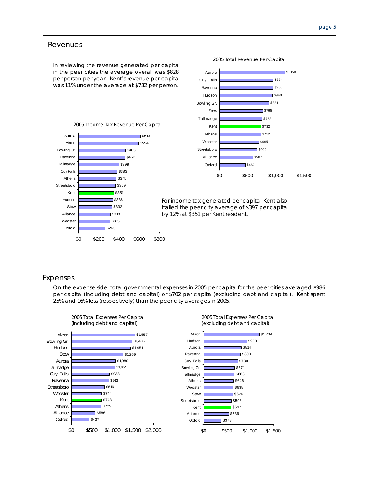## **Revenues**

In reviewing the revenue generated per capita in the peer cities the average overall was \$828 per person per year. Kent's revenue per capita was 11% under the average at \$732 per person.





For income tax generated per capita, Kent also trailed the peer city average of \$397 per capita by 12% at \$351 per Kent resident.

## **Expenses**

On the expense side, total governmental expenses in 2005 per capita for the peer cities averaged \$986 per capita (including debt and capital) or \$702 per capita (excluding debt and capital). Kent spent 25% and 16% less (respectively) than the peer city averages in 2005.

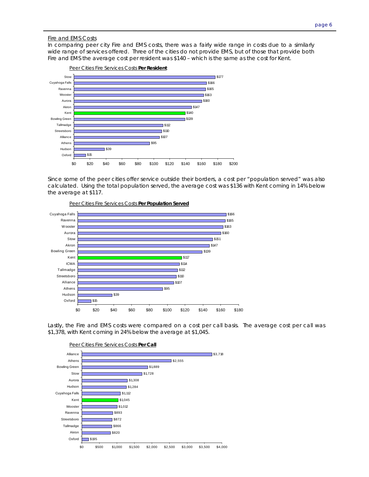### Fire and EMS Costs

In comparing peer city Fire and EMS costs, there was a fairly wide range in costs due to a similarly wide range of services offered. Three of the cities do not provide EMS, but of those that provide both Fire and EMS the average cost per resident was \$140 – which is the same as the cost for Kent.



Since some of the peer cities offer service outside their borders, a cost per "population served" was also calculated. Using the total population served, the average cost was \$136 with Kent coming in 14% below the average at \$117.



Peer Cities Fire Services Costs **Per Population Served**

Lastly, the Fire and EMS costs were compared on a cost per call basis. The average cost per call was \$1,378, with Kent coming in 24% below the average at \$1,045.

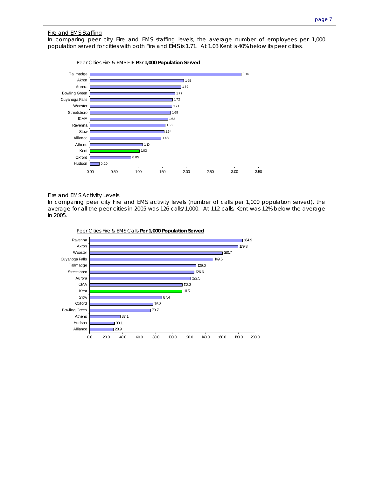# Fire and EMS Staffing

In comparing peer city Fire and EMS staffing levels, the average number of employees per 1,000 population served for cities with both Fire and EMS is 1.71. At 1.03 Kent is 40% below its peer cities.



#### Fire and EMS Activity Levels

In comparing peer city Fire and EMS activity levels (number of calls per 1,000 population served), the average for all the peer cities in 2005 was 126 calls/1,000. At 112 calls, Kent was 12% below the average in 2005.



Peer Cities Fire & EMS Calls **Per 1,000 Population Served**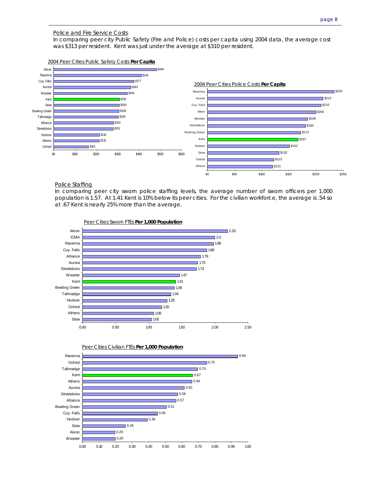### Police and Fire Service Costs

In comparing peer city Public Safety (Fire and Police) costs per capita using 2004 data, the average cost was \$313 per resident. Kent was just under the average at \$310 per resident.



#### Police Staffing

In comparing peer city sworn police staffing levels, the average number of sworn officers per 1,000 population is 1.57. At 1.41 Kent is 10% below its peer cities. For the civilian workforce, the average is .54 so at .67 Kent is nearly 25% more than the average.





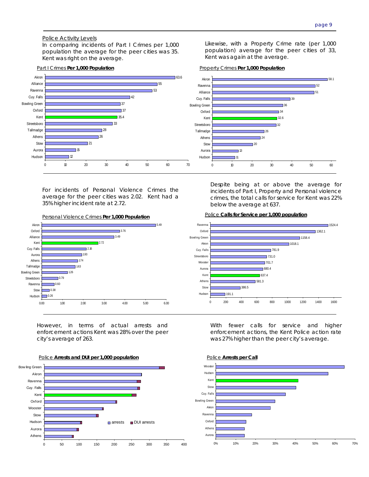## Police Activity Levels

In comparing incidents of Part I Crimes per 1,000 population the average for the peer cities was 35. Kent was right on the average.



For incidents of Personal Violence Crimes the average for the peer cities was 2.02. Kent had a 35% higher incident rate at 2.72.





However, in terms of actual arrests and enforcement actions Kent was 28% over the peer city's average of 263.



Likewise, with a Property Crime rate (per 1,000 population) average for the peer cities of 33, Kent was again at the average.

Part I Crimes **Per 1,000 Population** Property Crimes **Per 1,000 Population**



Despite being at or above the average for incidents of Part I, Property and Personal violence crimes, the total calls for service for Kent was 22% below the average at 637.

#### Police **Calls for Service per 1,000 population**



With fewer calls for service and higher enforcement actions, the Kent Police action rate was 27% higher than the peer city's average.



Police **Arrests per Call**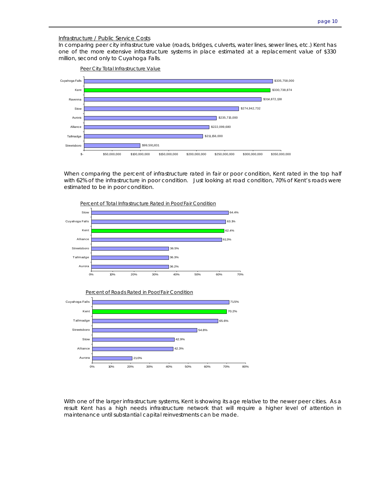#### Infrastructure / Public Service Costs

In comparing peer city infrastructure value (roads, bridges, culverts, water lines, sewer lines, etc.) Kent has one of the more extensive infrastructure systems in place estimated at a replacement value of \$330 million, second only to Cuyahoga Falls.



When comparing the percent of infrastructure rated in fair or poor condition, Kent rated in the top half with 62% of the infrastructure in poor condition. Just looking at road condition, 70% of Kent's roads were estimated to be in poor condition.



With one of the larger infrastructure systems, Kent is showing its age relative to the newer peer cities. As a result Kent has a high needs infrastructure network that will require a higher level of attention in maintenance until substantial capital reinvestments can be made.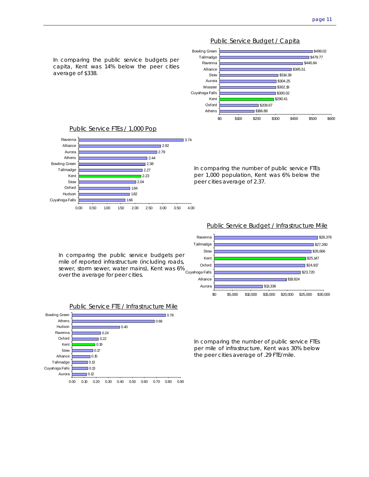

Public Service Budget / Capita



In comparing the public service budgets per mile of reported infrastructure (including roads, sewer, storm sewer, water mains), Kent was 6% over the average for peer cities.

## Public Service FTE / Infrastructure Mile



In comparing the number of public service FTEs per mile of infrastructure, Kent was 30% below the peer cities average of .29 FTE/mile.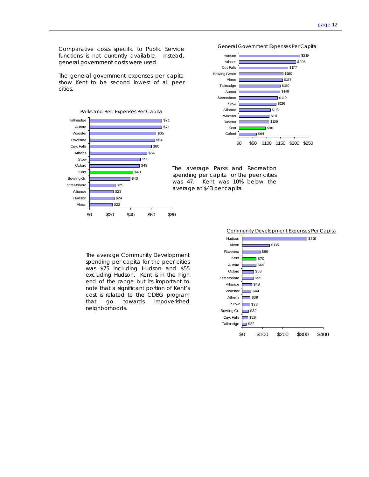Comparative costs specific to Public Service functions is not currently available. Instead, general government costs were used.

The general government expenses per capita show Kent to be second lowest of all peer cities.







The average Parks and Recreation spending per capita for the peer cities was 47. Kent was 10% below the average at \$43 per capita.

The average Community Development spending per capita for the peer cities was \$75 including Hudson and \$55 excluding Hudson. Kent is in the high end of the range but its important to note that a significant portion of Kent's cost is related to the CDBG program that go towards impoverished neighborhoods.

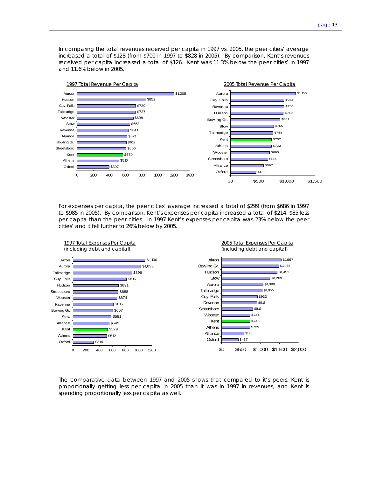In comparing the total revenues received per capita in 1997 vs. 2005, the peer cities' average increased a total of \$128 (from \$700 in 1997 to \$828 in 2005). By comparison, Kent's revenues received per capita increased a total of \$126. Kent was 11.3% below the peer cities' in 1997 and 11.6% below in 2005.



For expenses per capita, the peer cities' average increased a total of \$299 (from \$686 in 1997 to \$985 in 2005). By comparison, Kent's expenses per capita increased a total of \$214, \$85 less per capita than the peer cities. In 1997 Kent's expenses per capita was 23% below the peer cities' and it fell further to 26% below by 2005.



The comparative data between 1997 and 2005 shows that compared to it's peers, Kent is proportionally getting less per capita in 2005 than it was in 1997 in revenues, and Kent is spending proportionally less per capita as well.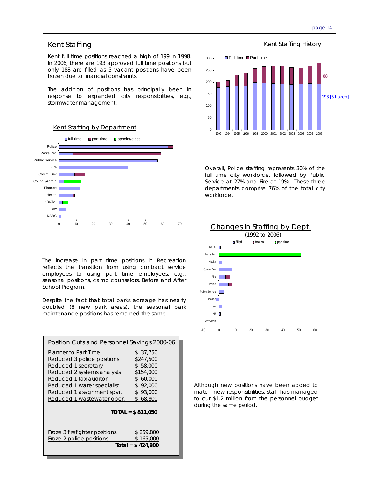# Kent Staffing Kent Staffing History

Kent full time positions reached a high of 199 in 1998. In 2006, there are 193 approved full time positions but only 188 are filled as 5 vacant positions have been frozen due to financial constraints.

The addition of positions has principally been in response to expanded city responsibilities, e.g., stormwater management.





 $\Omega$ 50 100 150 200 250 300 1992 1994 1995 1996 1998 2000 2001 2002 2003 2004 2005 2006 ■ Full-time ■ Part-time 88 93 [5 frozen]

Overall, Police staffing represents 30% of the full time city workforce, followed by Public Service at 27% and Fire at 19%. These three departments comprise 76% of the total city workforce.



The increase in part time positions in Recreation reflects the transition from using contract service employees to using part time employees, e.g., seasonal positions, camp counselors, Before and After School Program.

Despite the fact that total parks acreage has nearly doubled (8 new park areas), the seasonal park maintenance positions has remained the same.

| Planner to Part Time                                                                                                                                                                                    | \$ 37,750<br>\$247,500                                              |
|---------------------------------------------------------------------------------------------------------------------------------------------------------------------------------------------------------|---------------------------------------------------------------------|
| Reduced 3 police positions<br>Reduced 1 secretary<br>Reduced 2 systems analysts<br>Reduced 1 tax auditor<br>S<br>Reduced 1 water specialist<br>Reduced 1 assignment spvr.<br>Reduced 1 wastewater oper. | \$58,000<br>\$154,000<br>60,000<br>\$92,000<br>\$93,000<br>\$68,800 |
| $TOTAL = $ 811.050$<br>Froze 3 firefighter positions<br>\$259,800<br>Froze 2 police positions<br>\$165,000<br>Total = $$424,800$                                                                        |                                                                     |

Although new positions have been added to match new responsibilities, staff has managed to cut \$1.2 million from the personnel budget during the same period.